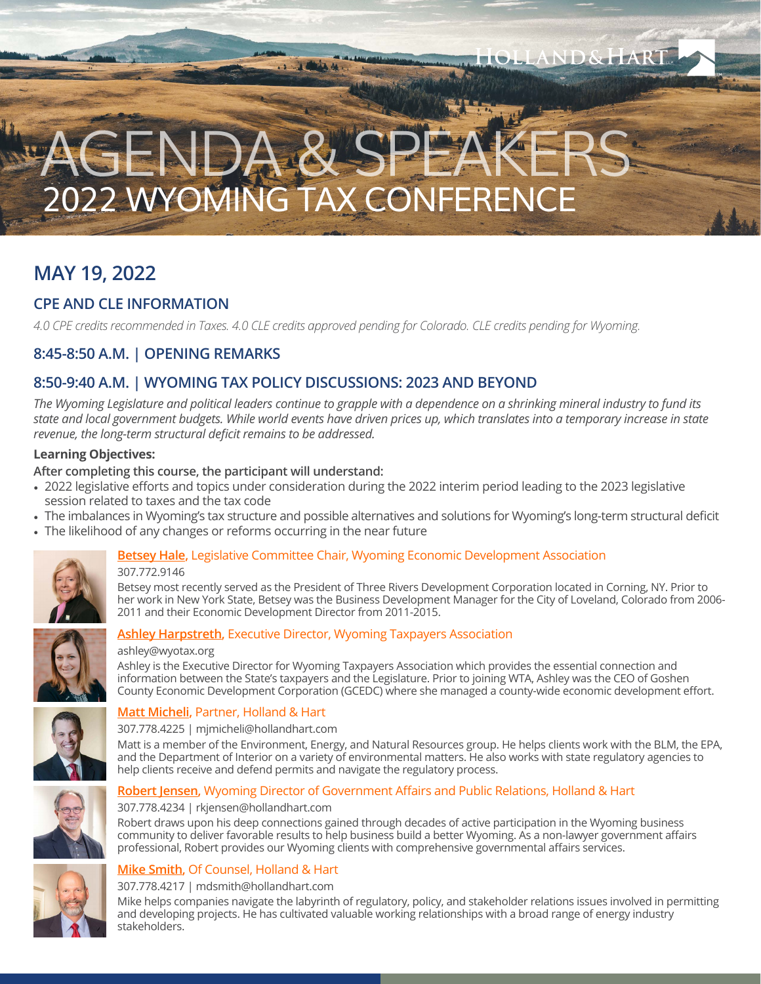# 2022 WYOMING TAX CONFERENCE  $\mathsf{g}$ EN.

## **MAY 19, 2022**

## **CPE AND CLE INFORMATION**

*4.0 CPE credits recommended in Taxes. 4.0 CLE credits approved pending for Colorado. CLE credits pending for Wyoming.* 

## **8:45-8:50 A.M. | OPENING REMARKS**

## **8:50-9:40 A.M. | WYOMING TAX POLICY DISCUSSIONS: 2023 AND BEYOND**

*The Wyoming Legislature and political leaders continue to grapple with a dependence on a shrinking mineral industry to fund its state and local government budgets. While world events have driven prices up, which translates into a temporary increase in state revenue, the long-term structural deficit remains to be addressed.*

## **Learning Objectives:**

## **After completing this course, the participant will understand:**

- 2022 legislative efforts and topics under consideration during the 2022 interim period leading to the 2023 legislative session related to taxes and the tax code
- The imbalances in Wyoming's tax structure and possible alternatives and solutions for Wyoming's long-term structural deficit
- The likelihood of any changes or reforms occurring in the near future



## **[Betsey Hale](https://www.wyomingeda.org/about/board-of-directors/p/item/1252/betsey-hale),** Legislative Committee Chair, Wyoming Economic Development Association

307.772.9146

Betsey most recently served as the President of Three Rivers Development Corporation located in Corning, NY. Prior to her work in New York State, Betsey was the Business Development Manager for the City of Loveland, Colorado from 2006- 2011 and their Economic Development Director from 2011-2015.

LAND&HARI

**MAGAZ** 



## **[Ashley Harpstreth](https://wyotax.org/about/board-of-directors/),** Executive Director, Wyoming Taxpayers Association

#### ashley@wyotax.org

Ashley is the Executive Director for Wyoming Taxpayers Association which provides the essential connection and information between the State's taxpayers and the Legislature. Prior to joining WTA, Ashley was the CEO of Goshen County Economic Development Corporation (GCEDC) where she managed a county-wide economic development effort.



## **[Matt Micheli](https://www.hollandhart.com/mjmicheli),** Partner, Holland & Hart

307.778.4225 | mjmicheli@hollandhart.com

Matt is a member of the Environment, Energy, and Natural Resources group. He helps clients work with the BLM, the EPA, and the Department of Interior on a variety of environmental matters. He also works with state regulatory agencies to help clients receive and defend permits and navigate the regulatory process.

## **[Robert Jensen](https://www.hollandhart.com/rkjensen),** Wyoming Director of Government Affairs and Public Relations, Holland & Hart



#### 307.778.4234 | rkjensen@hollandhart.com

Robert draws upon his deep connections gained through decades of active participation in the Wyoming business community to deliver favorable results to help business build a better Wyoming. As a non-lawyer government affairs professional, Robert provides our Wyoming clients with comprehensive governmental affairs services.



#### **[Mike Smith,](https://www.hollandhart.com/msmith)** Of Counsel, Holland & Hart 307.778.4217 | mdsmith@hollandhart.com

Mike helps companies navigate the labyrinth of regulatory, policy, and stakeholder relations issues involved in permitting and developing projects. He has cultivated valuable working relationships with a broad range of energy industry stakeholders.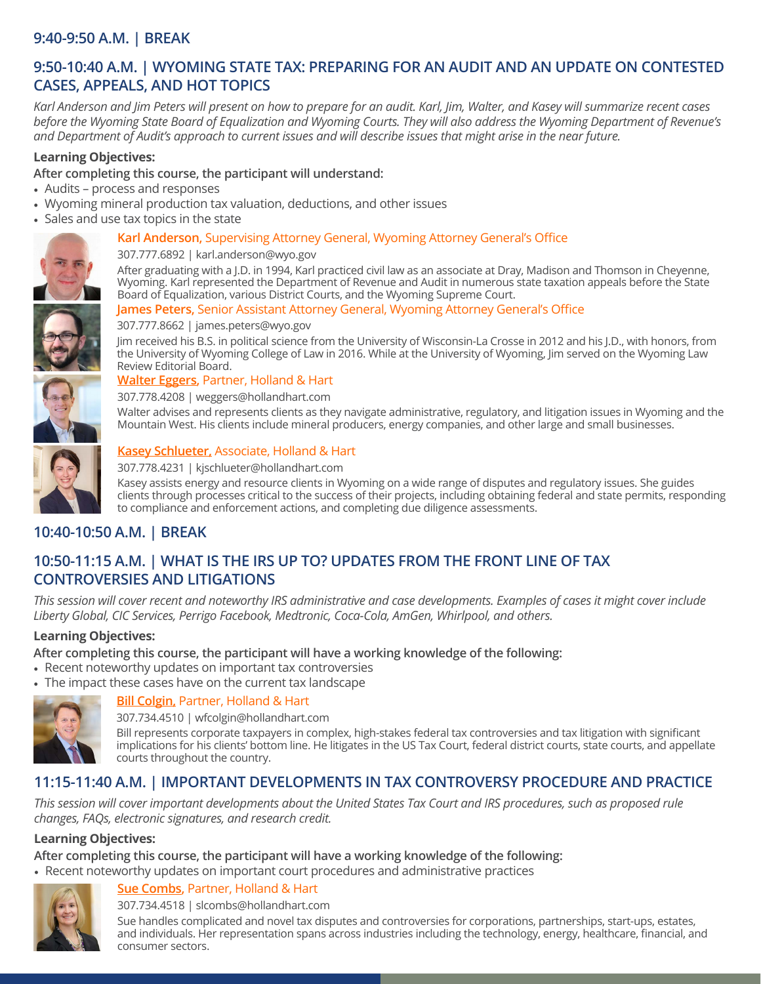## **9:40-9:50 A.M. | BREAK**

## **9:50-10:40 A.M. | WYOMING STATE TAX: PREPARING FOR AN AUDIT AND AN UPDATE ON CONTESTED CASES, APPEALS, AND HOT TOPICS**

*Karl Anderson and Jim Peters will present on how to prepare for an audit. Karl, Jim, Walter, and Kasey will summarize recent cases before the Wyoming State Board of Equalization and Wyoming Courts. They will also address the Wyoming Department of Revenue's and Department of Audit's approach to current issues and will describe issues that might arise in the near future.*

## **Learning Objectives:**

## **After completing this course, the participant will understand:**

- Audits process and responses
- Wyoming mineral production tax valuation, deductions, and other issues
- Sales and use tax topics in the state

## **Karl Anderson,** Supervising Attorney General, Wyoming Attorney General's Office



#### 307.777.6892 | karl.anderson@wyo.gov

After graduating with a J.D. in 1994, Karl practiced civil law as an associate at Dray, Madison and Thomson in Cheyenne, Wyoming. Karl represented the Department of Revenue and Audit in numerous state taxation appeals before the State Board of Equalization, various District Courts, and the Wyoming Supreme Court.

#### **James Peters,** Senior Assistant Attorney General, Wyoming Attorney General's Office



307.777.8662 | james.peters@wyo.gov

Jim received his B.S. in political science from the University of Wisconsin-La Crosse in 2012 and his J.D., with honors, from the University of Wyoming College of Law in 2016. While at the University of Wyoming, Jim served on the Wyoming Law Review Editorial Board.

## **[Walter Eggers](https://www.hollandhart.com/weggers),** Partner, Holland & Hart

307.778.4208 | weggers@hollandhart.com

Walter advises and represents clients as they navigate administrative, regulatory, and litigation issues in Wyoming and the Mountain West. His clients include mineral producers, energy companies, and other large and small businesses.



## **[Kasey Schlueter,](https://www.hollandhart.com/kjschlueter)** Associate, Holland & Hart

307.778.4231 | kjschlueter@hollandhart.com

Kasey assists energy and resource clients in Wyoming on a wide range of disputes and regulatory issues. She guides clients through processes critical to the success of their projects, including obtaining federal and state permits, responding to compliance and enforcement actions, and completing due diligence assessments.

## **10:40-10:50 A.M. | BREAK**

## **10:50-11:15 A.M. | WHAT IS THE IRS UP TO? UPDATES FROM THE FRONT LINE OF TAX CONTROVERSIES AND LITIGATIONS**

*This session will cover recent and noteworthy IRS administrative and case developments. Examples of cases it might cover include Liberty Global, CIC Services, Perrigo Facebook, Medtronic, Coca-Cola, AmGen, Whirlpool, and others.*

## **Learning Objectives:**

**After completing this course, the participant will have a working knowledge of the following:**

- Recent noteworthy updates on important tax controversies
- The impact these cases have on the current tax landscape



## **[Bill Colgin](https://www.hollandhart.com/wfcolgin),** Partner, Holland & Hart

307.734.4510 | wfcolgin@hollandhart.com Bill represents corporate taxpayers in complex, high-stakes federal tax controversies and tax litigation with significant implications for his clients' bottom line. He litigates in the US Tax Court, federal district courts, state courts, and appellate courts throughout the country.

## **11:15-11:40 A.M. | IMPORTANT DEVELOPMENTS IN TAX CONTROVERSY PROCEDURE AND PRACTICE**

*This session will cover important developments about the United States Tax Court and IRS procedures, such as proposed rule changes, FAQs, electronic signatures, and research credit.* 

## **Learning Objectives:**

**After completing this course, the participant will have a working knowledge of the following:**

• Recent noteworthy updates on important court procedures and administrative practices



## **[Sue Combs](https://www.hollandhart.com/slcombs),** Partner, Holland & Hart

307.734.4518 | slcombs@hollandhart.com

Sue handles complicated and novel tax disputes and controversies for corporations, partnerships, start-ups, estates, and individuals. Her representation spans across industries including the technology, energy, healthcare, financial, and consumer sectors.